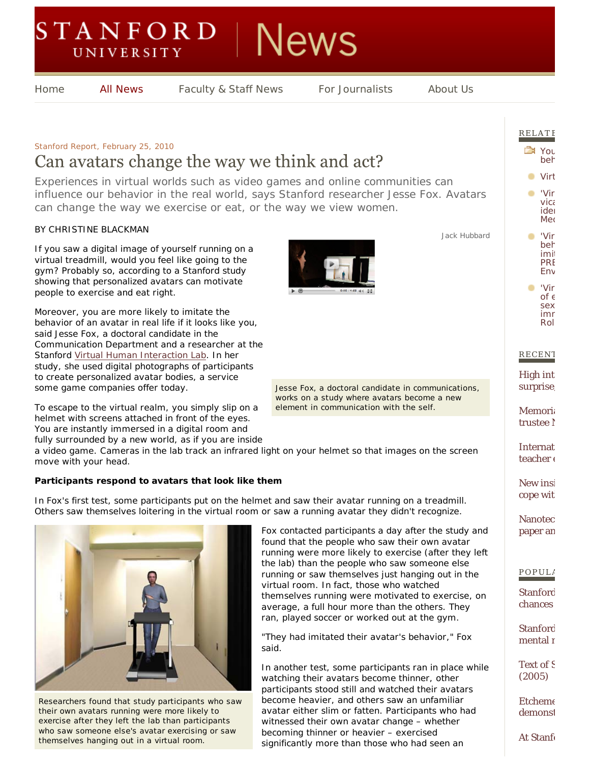# **STANFORD** News **UNIVERSITY**

**All News** 

Home **All News** Faculty & Staff News For Journalists About Us

## *Stanford Report, February 25, 2010* Can avatars change the way we think and act?

*Experiences in virtual worlds such as video games and online communities can influence our behavior in the real world, says Stanford researcher Jesse Fox. Avatars can change the way we exercise or eat, or the way we view women.*

#### BY CHRISTINE BLACKMAN

If you saw a digital image of yourself running on a virtual treadmill, would you feel like going to the gym? Probably so, according to a Stanford study showing that personalized avatars can motivate people to exercise and eat right.

Moreover, you are more likely to imitate the behavior of an avatar in real life if it looks like you, said Jesse Fox, a doctoral candidate in the Communication Department and a researcher at the Stanford Virtual Human Interaction Lab. In her study, she used digital photographs of participants to create personalized avatar bodies, a service some game companies offer today.

To escape to the virtual realm, you simply slip on a helmet with screens attached in front of the eyes. You are instantly immersed in a digital room and fully surrounded by a new world, as if you are inside



Jack Hubbard

Jesse Fox, a doctoral candidate in communications, works on a study where avatars become a new element in communication with the self.

a video game. Cameras in the lab track an infrared light on your helmet so that images on the screen move with your head.

### **Participants respond to avatars that look like them**

In Fox's first test, some participants put on the helmet and saw their avatar running on a treadmill. Others saw themselves loitering in the virtual room or saw a running avatar they didn't recognize.



Researchers found that study participants who saw their own avatars running were more likely to exercise after they left the lab than participants who saw someone else's avatar exercising or saw themselves hanging out in a virtual room.

Fox contacted participants a day after the study and found that the people who saw their own avatar running were more likely to exercise (after they left the lab) than the people who saw someone else running or saw themselves just hanging out in the virtual room. In fact, those who watched themselves running were motivated to exercise, on average, a full hour more than the others. They ran, played soccer or worked out at the gym.

"They had imitated their avatar's behavior," Fox said.

In another test, some participants ran in place while watching their avatars become thinner, other participants stood still and watched their avatars become heavier, and others saw an unfamiliar avatar either slim or fatten. Participants who had witnessed their own avatar change – whether becoming thinner or heavier – exercised significantly more than those who had seen an